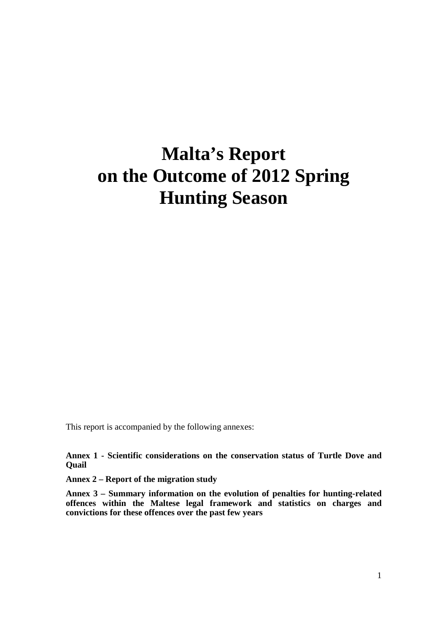# **Malta's Report on the Outcome of 2012 Spring Hunting Season**

This report is accompanied by the following annexes:

**Annex 1 - Scientific considerations on the conservation status of Turtle Dove and Quail** 

**Annex 2 – Report of the migration study** 

**Annex 3 – Summary information on the evolution of penalties for hunting-related offences within the Maltese legal framework and statistics on charges and convictions for these offences over the past few years**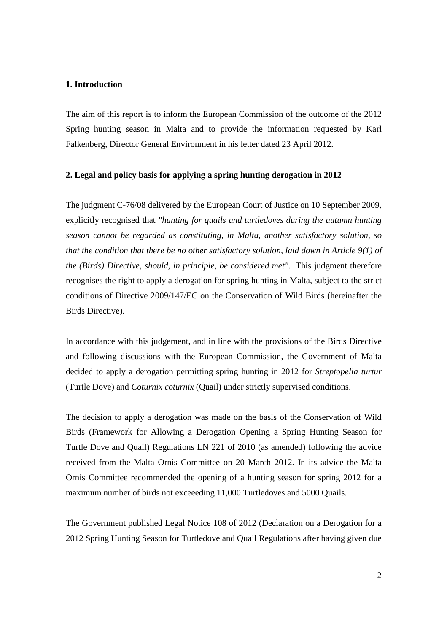#### **1. Introduction**

The aim of this report is to inform the European Commission of the outcome of the 2012 Spring hunting season in Malta and to provide the information requested by Karl Falkenberg, Director General Environment in his letter dated 23 April 2012.

#### **2. Legal and policy basis for applying a spring hunting derogation in 2012**

The judgment C-76/08 delivered by the European Court of Justice on 10 September 2009, explicitly recognised that *"hunting for quails and turtledoves during the autumn hunting season cannot be regarded as constituting, in Malta, another satisfactory solution, so that the condition that there be no other satisfactory solution, laid down in Article 9(1) of the (Birds) Directive, should, in principle, be considered met".* This judgment therefore recognises the right to apply a derogation for spring hunting in Malta, subject to the strict conditions of Directive 2009/147/EC on the Conservation of Wild Birds (hereinafter the Birds Directive).

In accordance with this judgement, and in line with the provisions of the Birds Directive and following discussions with the European Commission, the Government of Malta decided to apply a derogation permitting spring hunting in 2012 for *Streptopelia turtur* (Turtle Dove) and *Coturnix coturnix* (Quail) under strictly supervised conditions.

The decision to apply a derogation was made on the basis of the Conservation of Wild Birds (Framework for Allowing a Derogation Opening a Spring Hunting Season for Turtle Dove and Quail) Regulations LN 221 of 2010 (as amended) following the advice received from the Malta Ornis Committee on 20 March 2012. In its advice the Malta Ornis Committee recommended the opening of a hunting season for spring 2012 for a maximum number of birds not exceeeding 11,000 Turtledoves and 5000 Quails.

The Government published Legal Notice 108 of 2012 (Declaration on a Derogation for a 2012 Spring Hunting Season for Turtledove and Quail Regulations after having given due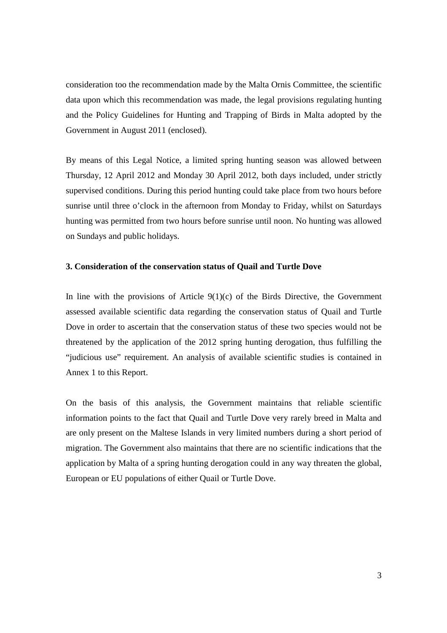consideration too the recommendation made by the Malta Ornis Committee, the scientific data upon which this recommendation was made, the legal provisions regulating hunting and the Policy Guidelines for Hunting and Trapping of Birds in Malta adopted by the Government in August 2011 (enclosed).

By means of this Legal Notice, a limited spring hunting season was allowed between Thursday, 12 April 2012 and Monday 30 April 2012, both days included, under strictly supervised conditions. During this period hunting could take place from two hours before sunrise until three o'clock in the afternoon from Monday to Friday, whilst on Saturdays hunting was permitted from two hours before sunrise until noon. No hunting was allowed on Sundays and public holidays.

#### **3. Consideration of the conservation status of Quail and Turtle Dove**

In line with the provisions of Article  $9(1)(c)$  of the Birds Directive, the Government assessed available scientific data regarding the conservation status of Quail and Turtle Dove in order to ascertain that the conservation status of these two species would not be threatened by the application of the 2012 spring hunting derogation, thus fulfilling the "judicious use" requirement. An analysis of available scientific studies is contained in Annex 1 to this Report.

On the basis of this analysis, the Government maintains that reliable scientific information points to the fact that Quail and Turtle Dove very rarely breed in Malta and are only present on the Maltese Islands in very limited numbers during a short period of migration. The Government also maintains that there are no scientific indications that the application by Malta of a spring hunting derogation could in any way threaten the global, European or EU populations of either Quail or Turtle Dove.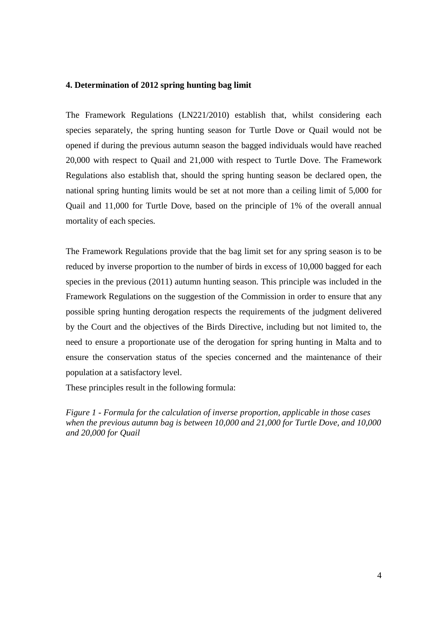#### **4. Determination of 2012 spring hunting bag limit**

The Framework Regulations (LN221/2010) establish that, whilst considering each species separately, the spring hunting season for Turtle Dove or Quail would not be opened if during the previous autumn season the bagged individuals would have reached 20,000 with respect to Quail and 21,000 with respect to Turtle Dove. The Framework Regulations also establish that, should the spring hunting season be declared open, the national spring hunting limits would be set at not more than a ceiling limit of 5,000 for Quail and 11,000 for Turtle Dove, based on the principle of 1% of the overall annual mortality of each species.

The Framework Regulations provide that the bag limit set for any spring season is to be reduced by inverse proportion to the number of birds in excess of 10,000 bagged for each species in the previous (2011) autumn hunting season. This principle was included in the Framework Regulations on the suggestion of the Commission in order to ensure that any possible spring hunting derogation respects the requirements of the judgment delivered by the Court and the objectives of the Birds Directive, including but not limited to, the need to ensure a proportionate use of the derogation for spring hunting in Malta and to ensure the conservation status of the species concerned and the maintenance of their population at a satisfactory level.

These principles result in the following formula:

*Figure 1 - Formula for the calculation of inverse proportion, applicable in those cases when the previous autumn bag is between 10,000 and 21,000 for Turtle Dove, and 10,000 and 20,000 for Quail*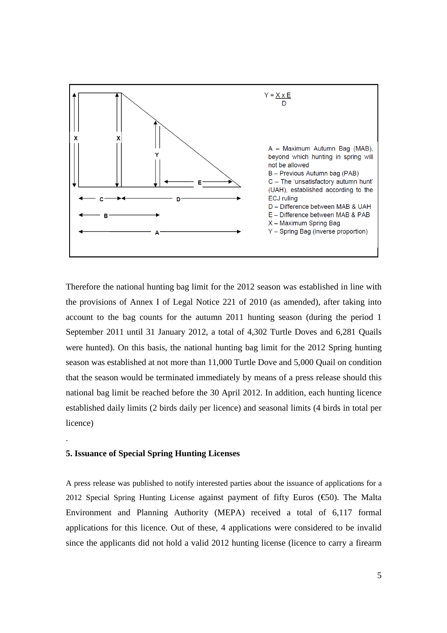

Therefore the national hunting bag limit for the 2012 season was established in line with the provisions of Annex I of Legal Notice 221 of 2010 (as amended), after taking into account to the bag counts for the autumn 2011 hunting season (during the period 1 September 2011 until 31 January 2012, a total of 4,302 Turtle Doves and 6,281 Quails were hunted). On this basis, the national hunting bag limit for the 2012 Spring hunting season was established at not more than 11,000 Turtle Dove and 5,000 Quail on condition that the season would be terminated immediately by means of a press release should this national bag limit be reached before the 30 April 2012. In addition, each hunting licence established daily limits (2 birds daily per licence) and seasonal limits (4 birds in total per licence)

#### **5. Issuance of Special Spring Hunting Licenses**

.

A press release was published to notify interested parties about the issuance of applications for a 2012 Special Spring Hunting License against payment of fifty Euros ( $\epsilon$ 50). The Malta Environment and Planning Authority (MEPA) received a total of 6,117 formal applications for this licence. Out of these, 4 applications were considered to be invalid since the applicants did not hold a valid 2012 hunting license (licence to carry a firearm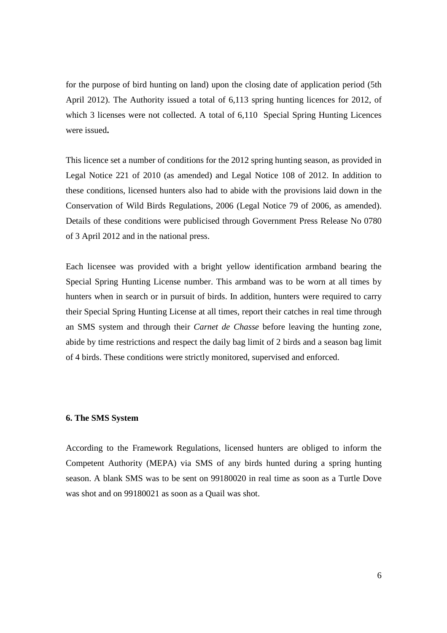for the purpose of bird hunting on land) upon the closing date of application period (5th April 2012). The Authority issued a total of 6,113 spring hunting licences for 2012, of which 3 licenses were not collected. A total of 6,110 Special Spring Hunting Licences were issued**.** 

This licence set a number of conditions for the 2012 spring hunting season, as provided in Legal Notice 221 of 2010 (as amended) and Legal Notice 108 of 2012. In addition to these conditions, licensed hunters also had to abide with the provisions laid down in the Conservation of Wild Birds Regulations, 2006 (Legal Notice 79 of 2006, as amended). Details of these conditions were publicised through Government Press Release No 0780 of 3 April 2012 and in the national press.

Each licensee was provided with a bright yellow identification armband bearing the Special Spring Hunting License number. This armband was to be worn at all times by hunters when in search or in pursuit of birds. In addition, hunters were required to carry their Special Spring Hunting License at all times, report their catches in real time through an SMS system and through their *Carnet de Chasse* before leaving the hunting zone, abide by time restrictions and respect the daily bag limit of 2 birds and a season bag limit of 4 birds. These conditions were strictly monitored, supervised and enforced.

#### **6. The SMS System**

According to the Framework Regulations, licensed hunters are obliged to inform the Competent Authority (MEPA) via SMS of any birds hunted during a spring hunting season. A blank SMS was to be sent on 99180020 in real time as soon as a Turtle Dove was shot and on 99180021 as soon as a Quail was shot.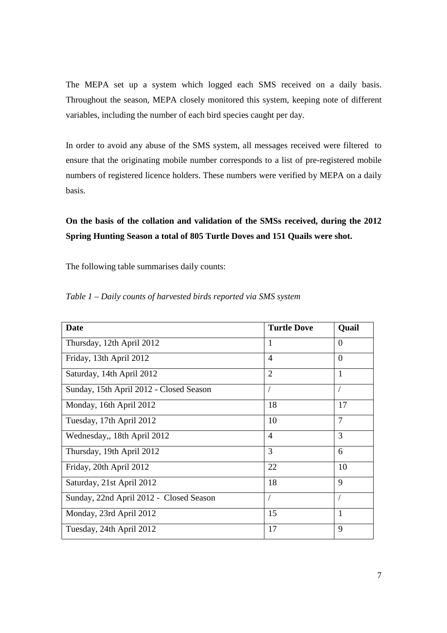The MEPA set up a system which logged each SMS received on a daily basis. Throughout the season, MEPA closely monitored this system, keeping note of different variables, including the number of each bird species caught per day.

In order to avoid any abuse of the SMS system, all messages received were filtered to ensure that the originating mobile number corresponds to a list of pre-registered mobile numbers of registered licence holders. These numbers were verified by MEPA on a daily basis.

# **On the basis of the collation and validation of the SMSs received, during the 2012 Spring Hunting Season a total of 805 Turtle Doves and 151 Quails were shot.**

The following table summarises daily counts:

| <b>Date</b>                             | <b>Turtle Dove</b> | Quail          |
|-----------------------------------------|--------------------|----------------|
| Thursday, 12th April 2012               | $\mathbf{1}$       | $\overline{0}$ |
| Friday, 13th April 2012                 | $\overline{4}$     | $\theta$       |
| Saturday, 14th April 2012               | $\overline{2}$     | $\mathbf{1}$   |
| Sunday, 15th April 2012 - Closed Season |                    | $\sqrt{2}$     |
| Monday, 16th April 2012                 | 18                 | 17             |
| Tuesday, 17th April 2012                | 10                 | $\overline{7}$ |
| Wednesday,, 18th April 2012             | $\overline{4}$     | 3              |
| Thursday, 19th April 2012               | 3                  | 6              |
| Friday, 20th April 2012                 | 22                 | 10             |
| Saturday, 21st April 2012               | 18                 | 9              |
| Sunday, 22nd April 2012 - Closed Season |                    | $\overline{1}$ |
| Monday, 23rd April 2012                 | 15                 | $\mathbf{1}$   |
| Tuesday, 24th April 2012                | 17                 | 9              |

*Table 1 – Daily counts of harvested birds reported via SMS system*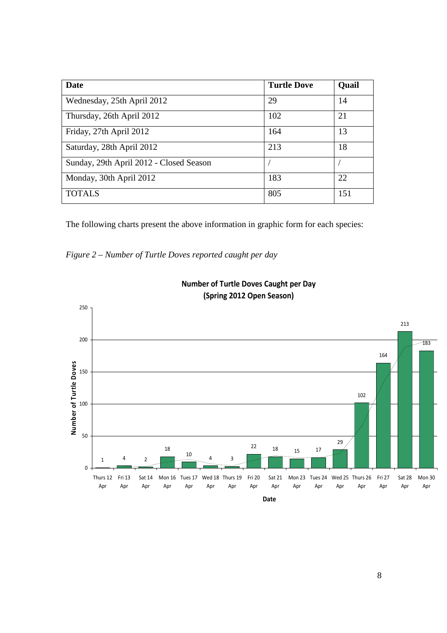| Date                                    | <b>Turtle Dove</b> | Quail |
|-----------------------------------------|--------------------|-------|
| Wednesday, 25th April 2012              | 29                 | 14    |
| Thursday, 26th April 2012               | 102                | 21    |
| Friday, 27th April 2012                 | 164                | 13    |
| Saturday, 28th April 2012               | 213                | 18    |
| Sunday, 29th April 2012 - Closed Season |                    |       |
| Monday, 30th April 2012                 | 183                | 22    |
| <b>TOTALS</b>                           | 805                | 151   |

The following charts present the above information in graphic form for each species:

*Figure 2 – Number of Turtle Doves reported caught per day* 



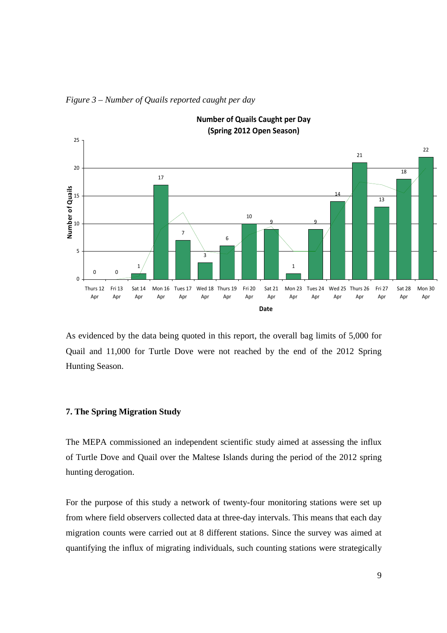

*Figure 3 – Number of Quails reported caught per day*

As evidenced by the data being quoted in this report, the overall bag limits of 5,000 for Quail and 11,000 for Turtle Dove were not reached by the end of the 2012 Spring Hunting Season.

#### **7. The Spring Migration Study**

The MEPA commissioned an independent scientific study aimed at assessing the influx of Turtle Dove and Quail over the Maltese Islands during the period of the 2012 spring hunting derogation.

For the purpose of this study a network of twenty-four monitoring stations were set up from where field observers collected data at three-day intervals. This means that each day migration counts were carried out at 8 different stations. Since the survey was aimed at quantifying the influx of migrating individuals, such counting stations were strategically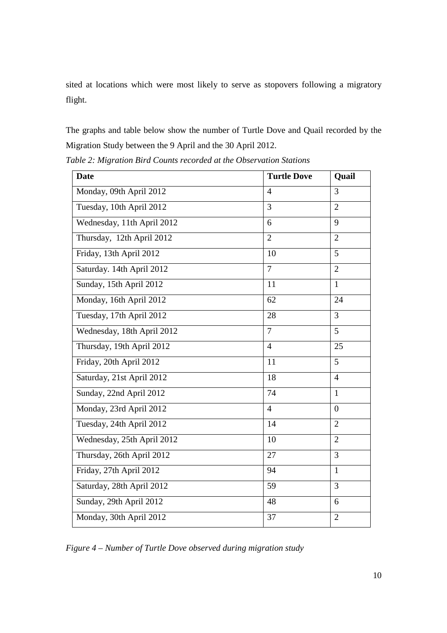sited at locations which were most likely to serve as stopovers following a migratory flight.

The graphs and table below show the number of Turtle Dove and Quail recorded by the Migration Study between the 9 April and the 30 April 2012.

| <b>Date</b>                | <b>Turtle Dove</b> | Quail          |
|----------------------------|--------------------|----------------|
| Monday, 09th April 2012    | $\overline{4}$     | 3              |
| Tuesday, 10th April 2012   | $\overline{3}$     | $\overline{2}$ |
| Wednesday, 11th April 2012 | 6                  | 9              |
| Thursday, 12th April 2012  | $\overline{2}$     | $\overline{2}$ |
| Friday, 13th April 2012    | 10                 | 5              |
| Saturday. 14th April 2012  | $\overline{7}$     | $\overline{2}$ |
| Sunday, 15th April 2012    | 11                 | $\mathbf{1}$   |
| Monday, 16th April 2012    | 62                 | 24             |
| Tuesday, 17th April 2012   | 28                 | $\overline{3}$ |
| Wednesday, 18th April 2012 | $\overline{7}$     | 5              |
| Thursday, 19th April 2012  | $\overline{4}$     | 25             |
| Friday, 20th April 2012    | 11                 | 5              |
| Saturday, 21st April 2012  | 18                 | $\overline{4}$ |
| Sunday, 22nd April 2012    | 74                 | $\mathbf{1}$   |
| Monday, 23rd April 2012    | $\overline{4}$     | $\overline{0}$ |
| Tuesday, 24th April 2012   | 14                 | $\overline{2}$ |
| Wednesday, 25th April 2012 | 10                 | $\overline{2}$ |
| Thursday, 26th April 2012  | 27                 | 3              |
| Friday, 27th April 2012    | 94                 | $\mathbf{1}$   |
| Saturday, 28th April 2012  | 59                 | 3              |
| Sunday, 29th April 2012    | 48                 | 6              |
| Monday, 30th April 2012    | 37                 | $\overline{2}$ |

*Table 2: Migration Bird Counts recorded at the Observation Stations*

*Figure 4 – Number of Turtle Dove observed during migration study*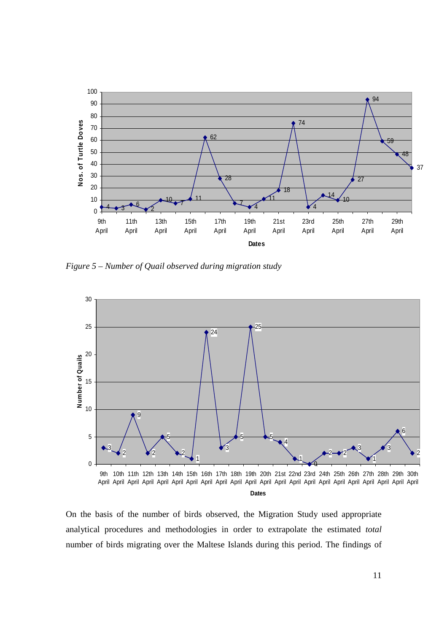

*Figure 5 – Number of Quail observed during migration study*



On the basis of the number of birds observed, the Migration Study used appropriate analytical procedures and methodologies in order to extrapolate the estimated *total* number of birds migrating over the Maltese Islands during this period. The findings of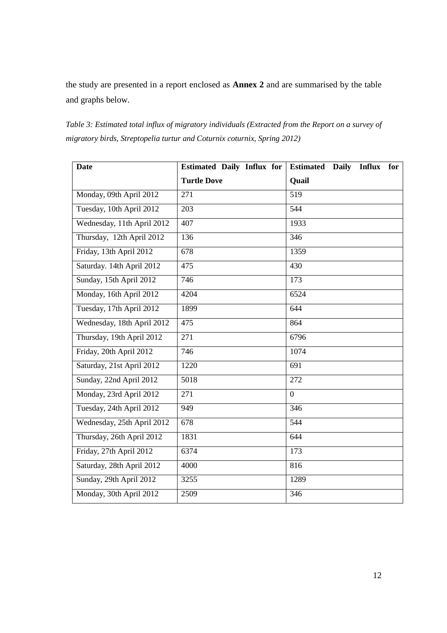the study are presented in a report enclosed as **Annex 2** and are summarised by the table and graphs below.

*Table 3: Estimated total influx of migratory individuals (Extracted from the Report on a survey of migratory birds, Streptopelia turtur and Coturnix coturnix, Spring 2012)* 

| <b>Date</b>                | <b>Estimated Daily Influx for</b> | <b>Estimated</b><br><b>Daily</b><br><b>Influx</b><br>for |
|----------------------------|-----------------------------------|----------------------------------------------------------|
|                            | <b>Turtle Dove</b>                | Quail                                                    |
| Monday, 09th April 2012    | 271                               | 519                                                      |
| Tuesday, 10th April 2012   | 203                               | 544                                                      |
| Wednesday, 11th April 2012 | 407                               | 1933                                                     |
| Thursday, 12th April 2012  | 136                               | 346                                                      |
| Friday, 13th April 2012    | 678                               | 1359                                                     |
| Saturday. 14th April 2012  | 475                               | 430                                                      |
| Sunday, 15th April 2012    | 746                               | 173                                                      |
| Monday, 16th April 2012    | 4204                              | 6524                                                     |
| Tuesday, 17th April 2012   | 1899                              | 644                                                      |
| Wednesday, 18th April 2012 | 475                               | 864                                                      |
| Thursday, 19th April 2012  | 271                               | 6796                                                     |
| Friday, 20th April 2012    | 746                               | 1074                                                     |
| Saturday, 21st April 2012  | 1220                              | 691                                                      |
| Sunday, 22nd April 2012    | 5018                              | 272                                                      |
| Monday, 23rd April 2012    | $\overline{271}$                  | $\overline{0}$                                           |
| Tuesday, 24th April 2012   | 949                               | $\frac{346}{ }$                                          |
| Wednesday, 25th April 2012 | 678                               | 544                                                      |
| Thursday, 26th April 2012  | 1831                              | 644                                                      |
| Friday, 27th April 2012    | 6374                              | 173                                                      |
| Saturday, 28th April 2012  | 4000                              | 816                                                      |
| Sunday, 29th April 2012    | 3255                              | 1289                                                     |
| Monday, 30th April 2012    | 2509                              | 346                                                      |
|                            |                                   |                                                          |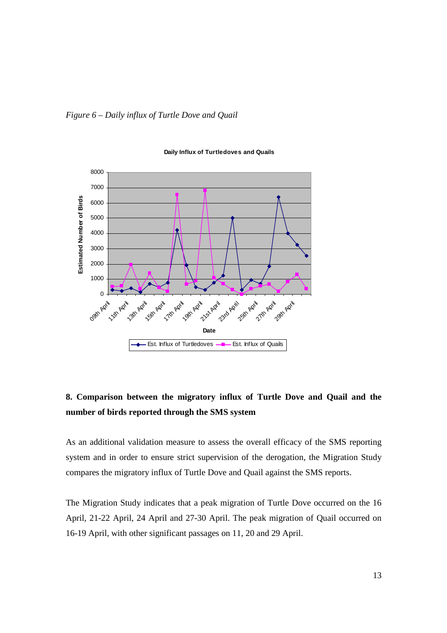



#### **Daily Influx of Turtledoves and Quails**

# **8. Comparison between the migratory influx of Turtle Dove and Quail and the number of birds reported through the SMS system**

As an additional validation measure to assess the overall efficacy of the SMS reporting system and in order to ensure strict supervision of the derogation, the Migration Study compares the migratory influx of Turtle Dove and Quail against the SMS reports.

The Migration Study indicates that a peak migration of Turtle Dove occurred on the 16 April, 21-22 April, 24 April and 27-30 April. The peak migration of Quail occurred on 16-19 April, with other significant passages on 11, 20 and 29 April.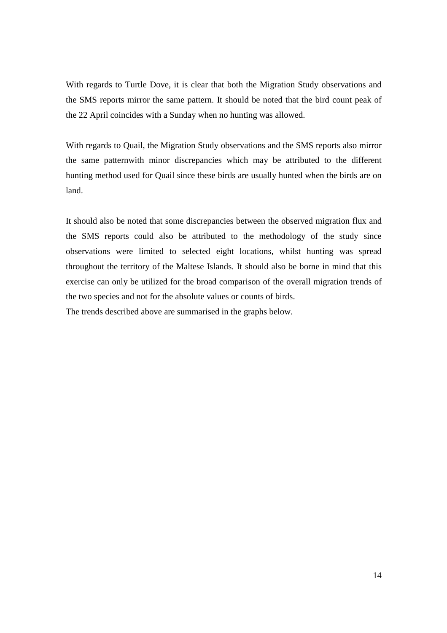With regards to Turtle Dove, it is clear that both the Migration Study observations and the SMS reports mirror the same pattern. It should be noted that the bird count peak of the 22 April coincides with a Sunday when no hunting was allowed.

With regards to Quail, the Migration Study observations and the SMS reports also mirror the same patternwith minor discrepancies which may be attributed to the different hunting method used for Quail since these birds are usually hunted when the birds are on land.

It should also be noted that some discrepancies between the observed migration flux and the SMS reports could also be attributed to the methodology of the study since observations were limited to selected eight locations, whilst hunting was spread throughout the territory of the Maltese Islands. It should also be borne in mind that this exercise can only be utilized for the broad comparison of the overall migration trends of the two species and not for the absolute values or counts of birds. The trends described above are summarised in the graphs below.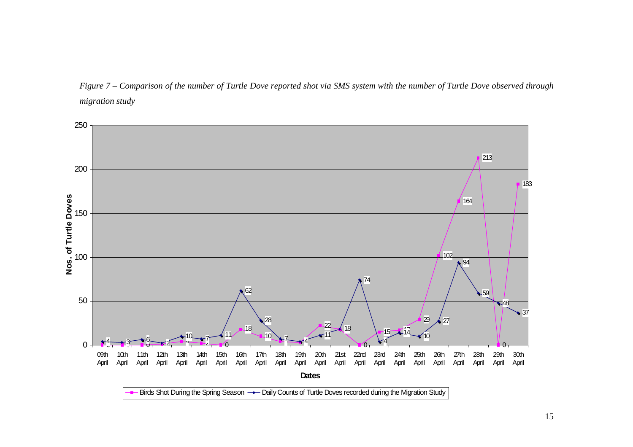*Figure 7 – Comparison of the number of Turtle Dove reported shot via SMS system with the number of Turtle Dove observed through migration study* 

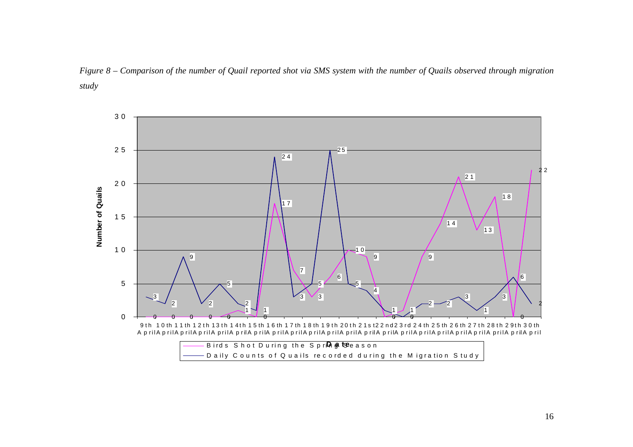

*Figure 8 – Comparison of the number of Quail reported shot via SMS system with the number of Quails observed through migration study*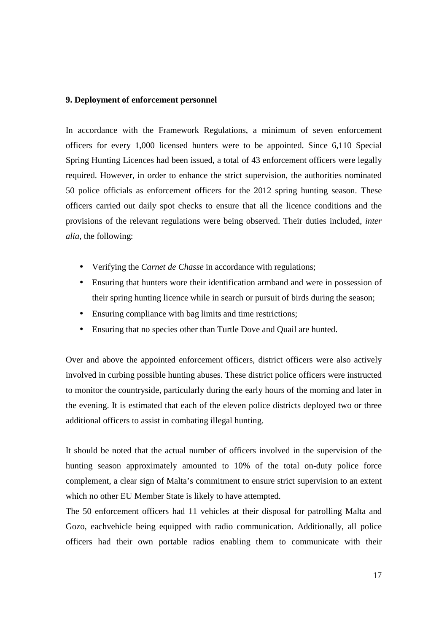#### **9. Deployment of enforcement personnel**

In accordance with the Framework Regulations, a minimum of seven enforcement officers for every 1,000 licensed hunters were to be appointed. Since 6,110 Special Spring Hunting Licences had been issued, a total of 43 enforcement officers were legally required. However, in order to enhance the strict supervision, the authorities nominated 50 police officials as enforcement officers for the 2012 spring hunting season. These officers carried out daily spot checks to ensure that all the licence conditions and the provisions of the relevant regulations were being observed. Their duties included, *inter alia,* the following:

- Verifying the *Carnet de Chasse* in accordance with regulations;
- Ensuring that hunters wore their identification armband and were in possession of their spring hunting licence while in search or pursuit of birds during the season;
- Ensuring compliance with bag limits and time restrictions;
- Ensuring that no species other than Turtle Dove and Quail are hunted.

Over and above the appointed enforcement officers, district officers were also actively involved in curbing possible hunting abuses. These district police officers were instructed to monitor the countryside, particularly during the early hours of the morning and later in the evening. It is estimated that each of the eleven police districts deployed two or three additional officers to assist in combating illegal hunting.

It should be noted that the actual number of officers involved in the supervision of the hunting season approximately amounted to 10% of the total on-duty police force complement, a clear sign of Malta's commitment to ensure strict supervision to an extent which no other EU Member State is likely to have attempted.

The 50 enforcement officers had 11 vehicles at their disposal for patrolling Malta and Gozo, eachvehicle being equipped with radio communication. Additionally, all police officers had their own portable radios enabling them to communicate with their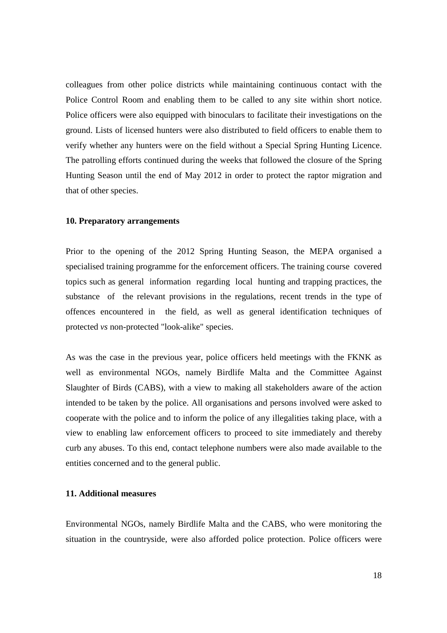colleagues from other police districts while maintaining continuous contact with the Police Control Room and enabling them to be called to any site within short notice. Police officers were also equipped with binoculars to facilitate their investigations on the ground. Lists of licensed hunters were also distributed to field officers to enable them to verify whether any hunters were on the field without a Special Spring Hunting Licence. The patrolling efforts continued during the weeks that followed the closure of the Spring Hunting Season until the end of May 2012 in order to protect the raptor migration and that of other species.

#### **10. Preparatory arrangements**

Prior to the opening of the 2012 Spring Hunting Season, the MEPA organised a specialised training programme for the enforcement officers. The training course covered topics such as general information regarding local hunting and trapping practices, the substance of the relevant provisions in the regulations, recent trends in the type of offences encountered in the field, as well as general identification techniques of protected *vs* non-protected "look-alike" species.

As was the case in the previous year, police officers held meetings with the FKNK as well as environmental NGOs, namely Birdlife Malta and the Committee Against Slaughter of Birds (CABS), with a view to making all stakeholders aware of the action intended to be taken by the police. All organisations and persons involved were asked to cooperate with the police and to inform the police of any illegalities taking place, with a view to enabling law enforcement officers to proceed to site immediately and thereby curb any abuses. To this end, contact telephone numbers were also made available to the entities concerned and to the general public.

#### **11. Additional measures**

Environmental NGOs, namely Birdlife Malta and the CABS, who were monitoring the situation in the countryside, were also afforded police protection. Police officers were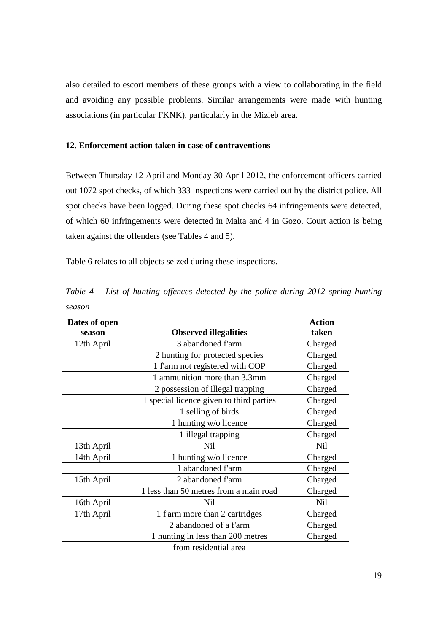also detailed to escort members of these groups with a view to collaborating in the field and avoiding any possible problems. Similar arrangements were made with hunting associations (in particular FKNK), particularly in the Mizieb area.

### **12. Enforcement action taken in case of contraventions**

Between Thursday 12 April and Monday 30 April 2012, the enforcement officers carried out 1072 spot checks, of which 333 inspections were carried out by the district police. All spot checks have been logged. During these spot checks 64 infringements were detected, of which 60 infringements were detected in Malta and 4 in Gozo. Court action is being taken against the offenders (see Tables 4 and 5).

Table 6 relates to all objects seized during these inspections.

| Dates of open |                                          | <b>Action</b>   |
|---------------|------------------------------------------|-----------------|
| season        | <b>Observed illegalities</b>             | taken           |
| 12th April    | 3 abandoned farm                         | Charged         |
|               | 2 hunting for protected species          | Charged         |
|               | 1 f'arm not registered with COP          | Charged         |
|               | 1 ammunition more than 3.3mm             | Charged         |
|               | 2 possession of illegal trapping         | Charged         |
|               | 1 special licence given to third parties | Charged         |
|               | 1 selling of birds                       | Charged         |
|               | 1 hunting w/o licence                    | Charged         |
|               | 1 illegal trapping                       | Charged         |
| 13th April    | <b>Nil</b>                               | N <sub>il</sub> |
| 14th April    | 1 hunting w/o licence                    | Charged         |
|               | 1 abandoned f'arm                        | Charged         |
| 15th April    | 2 abandoned f'arm                        | Charged         |
|               | 1 less than 50 metres from a main road   | Charged         |
| 16th April    | <b>Nil</b>                               | <b>Nil</b>      |
| 17th April    | 1 f'arm more than 2 cartridges           | Charged         |
|               | 2 abandoned of a f'arm                   | Charged         |
|               | 1 hunting in less than 200 metres        | Charged         |
|               | from residential area                    |                 |

*Table 4 – List of hunting offences detected by the police during 2012 spring hunting season*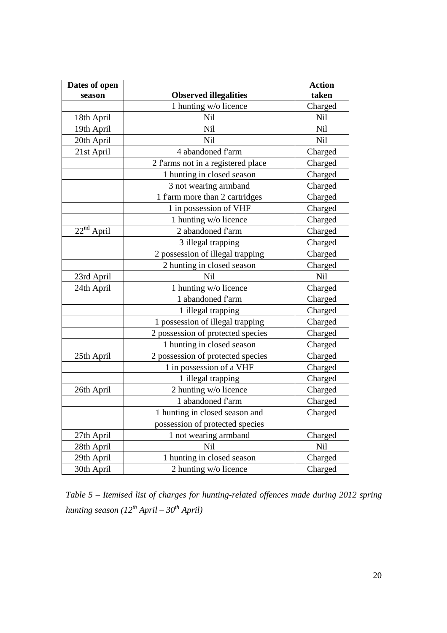| Dates of open |                                    | <b>Action</b> |
|---------------|------------------------------------|---------------|
| season        | <b>Observed illegalities</b>       | taken         |
|               | 1 hunting w/o licence              | Charged       |
| 18th April    | Nil                                | Nil           |
| 19th April    | Nil                                | Nil           |
| 20th April    | <b>Nil</b>                         | Nil           |
| 21st April    | 4 abandoned f'arm                  | Charged       |
|               | 2 f'arms not in a registered place | Charged       |
|               | 1 hunting in closed season         | Charged       |
|               | 3 not wearing armband              | Charged       |
|               | 1 f'arm more than 2 cartridges     | Charged       |
|               | 1 in possession of VHF             | Charged       |
|               | 1 hunting w/o licence              | Charged       |
| $22nd$ April  | 2 abandoned farm                   | Charged       |
|               | 3 illegal trapping                 | Charged       |
|               | 2 possession of illegal trapping   | Charged       |
|               | 2 hunting in closed season         | Charged       |
| 23rd April    | Nil                                | Nil           |
| 24th April    | 1 hunting w/o licence              | Charged       |
|               | 1 abandoned f'arm                  | Charged       |
|               | 1 illegal trapping                 | Charged       |
|               | 1 possession of illegal trapping   | Charged       |
|               | 2 possession of protected species  | Charged       |
|               | 1 hunting in closed season         | Charged       |
| 25th April    | 2 possession of protected species  | Charged       |
|               | 1 in possession of a VHF           | Charged       |
|               | 1 illegal trapping                 | Charged       |
| 26th April    | 2 hunting w/o licence              | Charged       |
|               | 1 abandoned f'arm                  | Charged       |
|               | 1 hunting in closed season and     | Charged       |
|               | possession of protected species    |               |
| 27th April    | 1 not wearing armband              | Charged       |
| 28th April    | <b>Nil</b>                         | Nil           |
| 29th April    | 1 hunting in closed season         | Charged       |
| 30th April    | 2 hunting w/o licence              | Charged       |

*Table 5 – Itemised list of charges for hunting-related offences made during 2012 spring hunting season (12th April – 30th April)*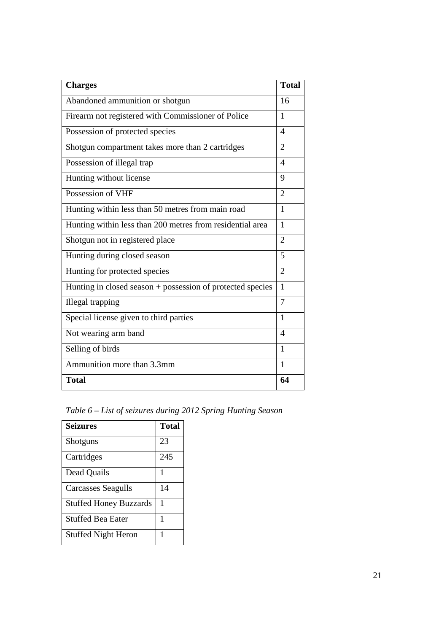| <b>Charges</b>                                             | <b>Total</b>   |
|------------------------------------------------------------|----------------|
| Abandoned ammunition or shotgun                            | 16             |
| Firearm not registered with Commissioner of Police         | 1              |
| Possession of protected species                            | $\overline{4}$ |
| Shotgun compartment takes more than 2 cartridges           | $\overline{2}$ |
| Possession of illegal trap                                 | $\overline{4}$ |
| Hunting without license                                    | 9              |
| Possession of VHF                                          | $\overline{2}$ |
| Hunting within less than 50 metres from main road          | 1              |
| Hunting within less than 200 metres from residential area  | $\mathbf{1}$   |
| Shotgun not in registered place                            | $\overline{2}$ |
| Hunting during closed season                               | 5              |
| Hunting for protected species                              | $\overline{2}$ |
| Hunting in closed season + possession of protected species | 1              |
| Illegal trapping                                           | 7              |
| Special license given to third parties                     | 1              |
| Not wearing arm band                                       | $\overline{4}$ |
| Selling of birds                                           | 1              |
| Ammunition more than 3.3mm                                 | $\mathbf{1}$   |
| <b>Total</b>                                               | 64             |

*Table 6 – List of seizures during 2012 Spring Hunting Season* 

| <b>Seizures</b>               | <b>Total</b> |
|-------------------------------|--------------|
| Shotguns                      | 23           |
| Cartridges                    | 245          |
| Dead Quails                   | 1            |
| <b>Carcasses Seagulls</b>     | 14           |
| <b>Stuffed Honey Buzzards</b> | 1            |
| <b>Stuffed Bea Eater</b>      | 1            |
| <b>Stuffed Night Heron</b>    |              |